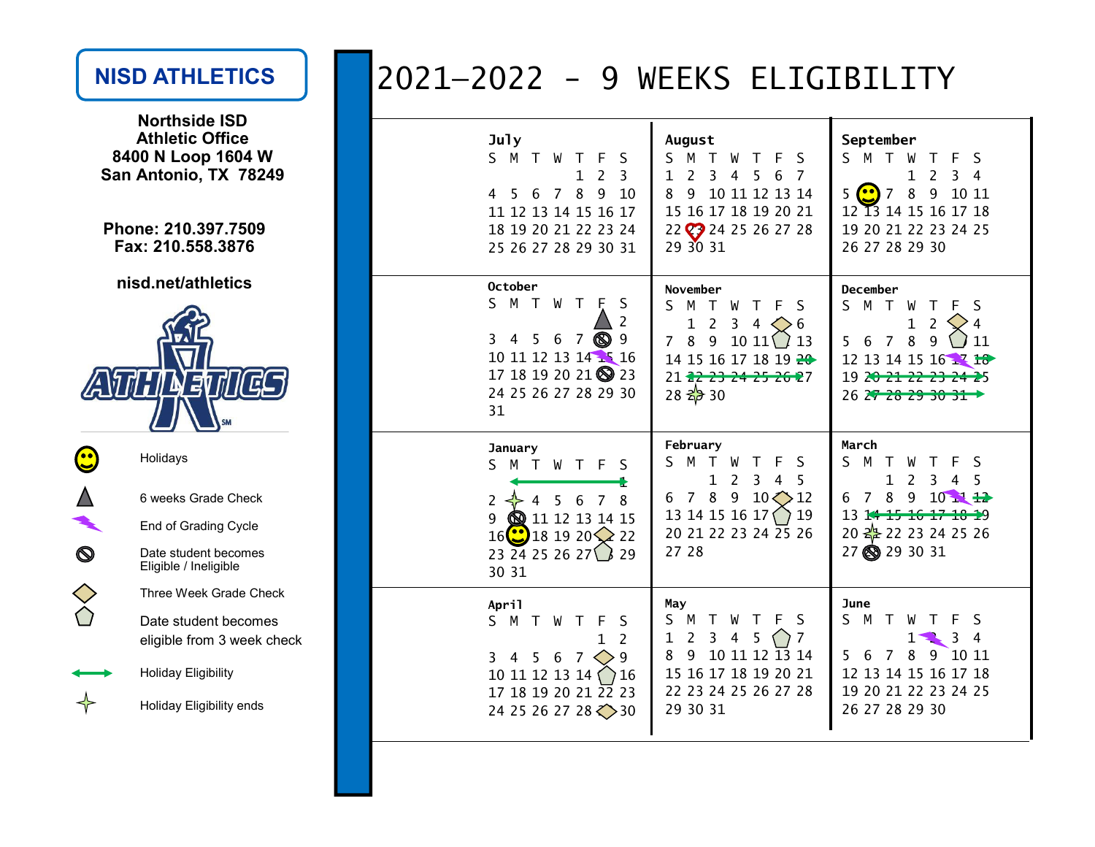### NISD ATHLETICS

Northside ISD Athletic Office 8400 N Loop 1604 WSan Antonio, TX 78249

Phone: 210.397.7509Fax: 210.558.3876

nisd.net/athletics

# ATHINE  $\boldsymbol{E}$

| Holidays                                           |
|----------------------------------------------------|
| 6 weeks Grade Check                                |
| <b>End of Grading Cycle</b>                        |
| Date student becomes<br>Eligible / Ineligible      |
| Three Week Grade Check                             |
| Date student becomes<br>eligible from 3 week check |
| Holiday Eligibility                                |
| Holiday Eligibility ends                           |

## 2021—2022 - 9 WEEKS ELIGIBILITY

| <b>July</b>                                                                                                                                                                                                    | August                                                                                                                                                                                                               | September                                                                                                                                                                                                                      |
|----------------------------------------------------------------------------------------------------------------------------------------------------------------------------------------------------------------|----------------------------------------------------------------------------------------------------------------------------------------------------------------------------------------------------------------------|--------------------------------------------------------------------------------------------------------------------------------------------------------------------------------------------------------------------------------|
| S M<br>$\top$<br>W<br>S<br>F<br>T<br>$\overline{2}$<br>$\overline{3}$<br>$\mathbf 1$<br>8<br>9<br>$\overline{7}$<br>10<br>5.<br>6<br>4<br>11 12 13 14 15 16 17<br>18 19 20 21 22 23 24<br>25 26 27 28 29 30 31 | M<br>S<br>$\top$<br>W<br>F<br>-S<br>T<br>3<br>$\overline{7}$<br>$\overline{2}$<br>$\mathbf{1}$<br>4<br>5<br>6<br>8<br>10 11 12 13 14<br>9<br>15 16 17 18 19 20 21<br>22 23 24 25 26 27 28<br>29 30 31                | S M T W<br>F S<br>Τ<br>$\overline{2}$<br>3 <sub>4</sub><br>$\mathbf{1}$<br>8<br>5<br>$\left( \bullet \bullet \right)$<br>9<br>10 11<br>7<br>12 13 14 15 16 17 18<br>19 20 21 22 23 24 25<br>26 27 28 29 30                     |
| <b>October</b><br>S.<br>M T<br>W<br>$\top$<br>S<br>F<br>2<br>9<br>3<br>5.<br>6<br>യ<br>4<br>7<br>10 11 12 13 14 15 16<br>17 18 19 20 21 23<br>24 25 26 27 28 29 30<br>31                                       | November<br>S.<br>M T<br>W<br>Т<br>F<br>S<br>$\overline{2}$<br>$\mathbf 1$<br>3<br>6<br>4<br>8<br>$10 \; 11 \; 13$<br>9<br>7<br>14 15 16 17 18 19 20<br>21 22 23 24 25 26 27<br>$28 \frac{2}{9} 30$                  | <b>December</b><br>S M T<br>S<br>W<br>Т<br>F<br>$\overline{2}$<br>$\mathbf 1$<br>$\overline{4}$<br>8<br>9<br>11<br>$\overline{7}$<br>5.<br>6<br>12 13 14 15 16 17 18<br>19 2 <del>0 21 22 23 24 2</del> 5<br>26 27 28 29 30 31 |
| January<br>S M<br>$\top$<br>W<br>T F<br>S<br>8<br>$\overline{2}$<br>5<br>6<br>7<br>4<br>9<br><b>@</b> 11 12 13 14 15<br>$16$ $\ddot{\text{C}}$<br>$181920 \times 22$<br>23 24 25 26 27 $\bigcup$ 29<br>30 31   | February<br>M T W<br>S.<br>$\top$<br>F<br>S<br>$\overline{3}$<br>5<br>$\mathbf{1}$<br>2<br>$\overline{4}$<br>8<br>9<br>$10 \bigodot 12$<br>$7^{\circ}$<br>6<br>13 14 15 16 17<br>19<br>20 21 22 23 24 25 26<br>27 28 | March<br>S M T<br>W<br>Τ<br>F.<br>S<br>$\mathbf{1}$<br>2<br>5<br>3<br>4<br>8 9<br>$10$ $\rightarrow$ $\rightarrow$<br>6<br>7<br>13 14 15 16 17 18 19<br>20 <del>22</del> 22 23 24 25 26<br>27 8 29 30 31                       |
| April<br>S M<br>$\top$<br>W<br>S<br>F<br>T.<br>$\overline{2}$<br>1<br>9<br>3<br>6<br>$7^{\circ}$<br>4<br>5.<br>10 11 12 13 14<br>16<br>17 18 19 20 21 22 23<br>24 25 26 27 28 $\diamond$ 30                    | May<br>S<br>M T<br>W<br>S<br>F<br>7<br>1<br>2<br>3<br>4<br>5<br>10 11 12 13 14<br>8<br>9<br>15 16 17 18 19 20 21<br>22 23 24 25 26 27 28<br>29 30 31                                                                 | June<br>M T<br>S.<br>S<br>F<br>W<br>3<br>$\overline{4}$<br>ı<br>8<br>9<br>10 11<br>6<br>7<br>5<br>12 13 14 15 16 17 18<br>19 20 21 22 23 24 25<br>26 27 28 29 30                                                               |